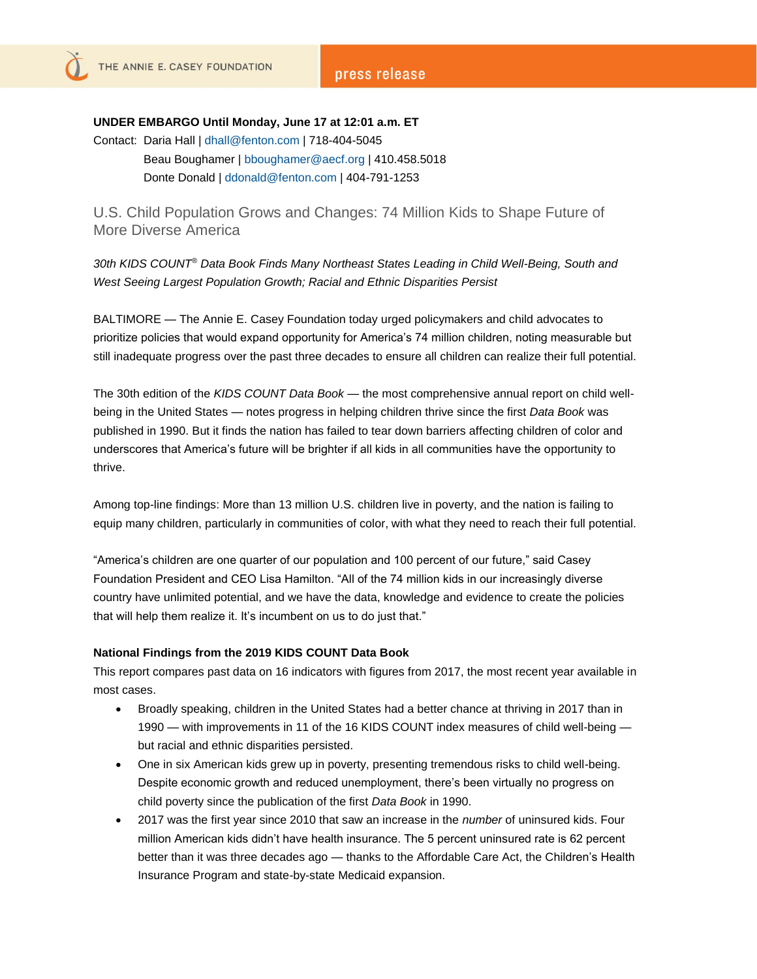# **UNDER EMBARGO Until Monday, June 17 at 12:01 a.m. ET**

Contact: Daria Hall [| dhall@fenton.com](mailto:dhall@fenton.com) | 718-404-5045 Beau Boughamer | [bboughamer@aecf.org](mailto:bboughamer@aecf.org) | 410.458.5018 Donte Donald | [ddonald@fenton.com](mailto:ddonald@fenton.com) | 404-791-1253

U.S. Child Population Grows and Changes: 74 Million Kids to Shape Future of More Diverse America

*30th KIDS COUNT® Data Book Finds Many Northeast States Leading in Child Well-Being, South and West Seeing Largest Population Growth; Racial and Ethnic Disparities Persist*

BALTIMORE — The Annie E. Casey Foundation today urged policymakers and child advocates to prioritize policies that would expand opportunity for America's 74 million children, noting measurable but still inadequate progress over the past three decades to ensure all children can realize their full potential.

The 30th edition of the *KIDS COUNT Data Book* — the most comprehensive annual report on child wellbeing in the United States — notes progress in helping children thrive since the first *Data Book* was published in 1990. But it finds the nation has failed to tear down barriers affecting children of color and underscores that America's future will be brighter if all kids in all communities have the opportunity to thrive.

Among top-line findings: More than 13 million U.S. children live in poverty, and the nation is failing to equip many children, particularly in communities of color, with what they need to reach their full potential.

"America's children are one quarter of our population and 100 percent of our future," said Casey Foundation President and CEO Lisa Hamilton. "All of the 74 million kids in our increasingly diverse country have unlimited potential, and we have the data, knowledge and evidence to create the policies that will help them realize it. It's incumbent on us to do just that."

### **National Findings from the 2019 KIDS COUNT Data Book**

This report compares past data on 16 indicators with figures from 2017, the most recent year available in most cases.

- Broadly speaking, children in the United States had a better chance at thriving in 2017 than in 1990 — with improvements in 11 of the 16 KIDS COUNT index measures of child well-being but racial and ethnic disparities persisted.
- One in six American kids grew up in poverty, presenting tremendous risks to child well-being. Despite economic growth and reduced unemployment, there's been virtually no progress on child poverty since the publication of the first *Data Book* in 1990.
- 2017 was the first year since 2010 that saw an increase in the *number* of uninsured kids. Four million American kids didn't have health insurance. The 5 percent uninsured rate is 62 percent better than it was three decades ago — thanks to the Affordable Care Act, the Children's Health Insurance Program and state-by-state Medicaid expansion.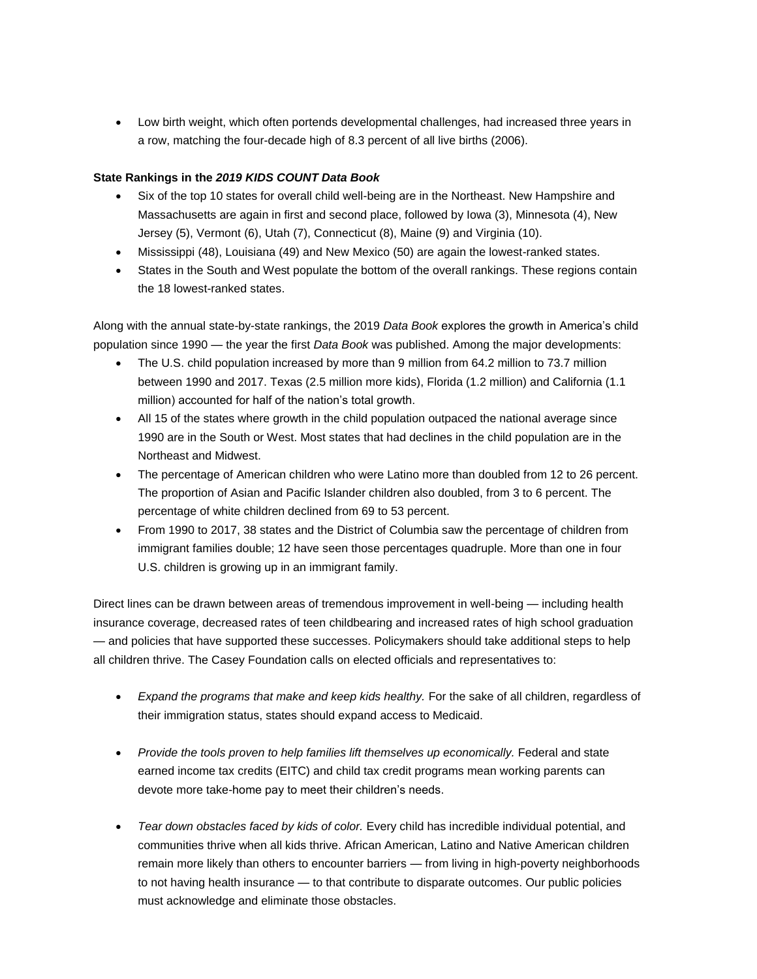• Low birth weight, which often portends developmental challenges, had increased three years in a row, matching the four-decade high of 8.3 percent of all live births (2006).

## **State Rankings in the** *2019 KIDS COUNT Data Book*

- Six of the top 10 states for overall child well-being are in the Northeast. New Hampshire and Massachusetts are again in first and second place, followed by Iowa (3), Minnesota (4), New Jersey (5), Vermont (6), Utah (7), Connecticut (8), Maine (9) and Virginia (10).
- Mississippi (48), Louisiana (49) and New Mexico (50) are again the lowest-ranked states.
- States in the South and West populate the bottom of the overall rankings. These regions contain the 18 lowest-ranked states.

Along with the annual state-by-state rankings, the 2019 *Data Book* explores the growth in America's child population since 1990 — the year the first *Data Book* was published. Among the major developments:

- The U.S. child population increased by more than 9 million from 64.2 million to 73.7 million between 1990 and 2017. Texas (2.5 million more kids), Florida (1.2 million) and California (1.1 million) accounted for half of the nation's total growth.
- All 15 of the states where growth in the child population outpaced the national average since 1990 are in the South or West. Most states that had declines in the child population are in the Northeast and Midwest.
- The percentage of American children who were Latino more than doubled from 12 to 26 percent. The proportion of Asian and Pacific Islander children also doubled, from 3 to 6 percent. The percentage of white children declined from 69 to 53 percent.
- From 1990 to 2017, 38 states and the District of Columbia saw the percentage of children from immigrant families double; 12 have seen those percentages quadruple. More than one in four U.S. children is growing up in an immigrant family.

Direct lines can be drawn between areas of tremendous improvement in well-being — including health insurance coverage, decreased rates of teen childbearing and increased rates of high school graduation — and policies that have supported these successes. Policymakers should take additional steps to help all children thrive. The Casey Foundation calls on elected officials and representatives to:

- *Expand the programs that make and keep kids healthy.* For the sake of all children, regardless of their immigration status, states should expand access to Medicaid.
- *Provide the tools proven to help families lift themselves up economically.* Federal and state earned income tax credits (EITC) and child tax credit programs mean working parents can devote more take-home pay to meet their children's needs.
- *Tear down obstacles faced by kids of color.* Every child has incredible individual potential, and communities thrive when all kids thrive. African American, Latino and Native American children remain more likely than others to encounter barriers — from living in high-poverty neighborhoods to not having health insurance — to that contribute to disparate outcomes. Our public policies must acknowledge and eliminate those obstacles.